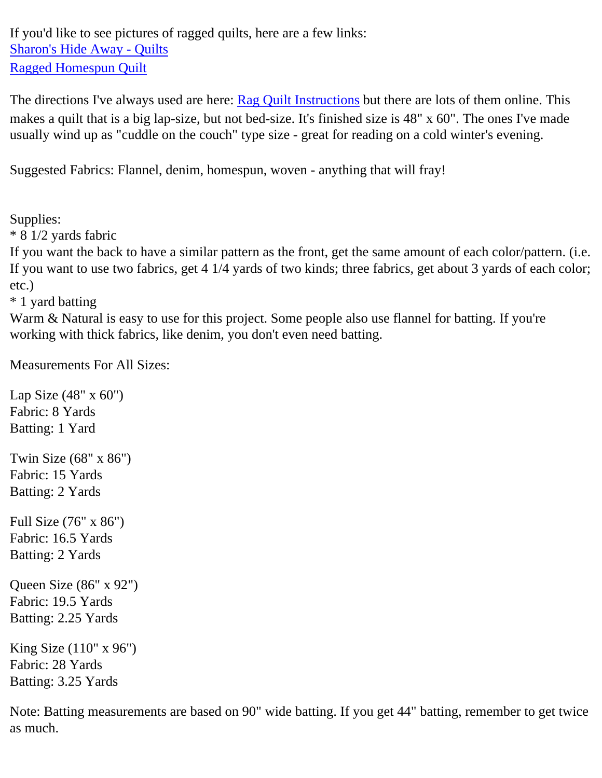If you'd like to see pictures of ragged quilts, here are a few links: [Sharon's Hide Away - Quilts](http://www.geocities.com/Heartland/Ranch/5857/quilts.html) [Ragged Homespun Quilt](http://63.210.199.176/content/projects/static/new/images/ragged_quilt.jpg)

The directions I've always used are here: [Rag Quilt Instructions](http://63.210.199.176/content/projects/projectsDisplay.jhtml;$sessionid$GGQ0MKYAAEPCQP4SY5FRHOR50LD2UEPO?articlePath=/content/projects/static/new/ragged_quilt.html) but there are lots of them online. This makes a quilt that is a big lap-size, but not bed-size. It's finished size is 48" x 60". The ones I've made usually wind up as "cuddle on the couch" type size - great for reading on a cold winter's evening.

Suggested Fabrics: Flannel, denim, homespun, woven - anything that will fray!

Supplies:

\* 8 1/2 yards fabric

If you want the back to have a similar pattern as the front, get the same amount of each color/pattern. (i.e. If you want to use two fabrics, get 4 1/4 yards of two kinds; three fabrics, get about 3 yards of each color; etc.)

\* 1 yard batting

Warm & Natural is easy to use for this project. Some people also use flannel for batting. If you're working with thick fabrics, like denim, you don't even need batting.

Measurements For All Sizes:

Lap Size (48" x 60") Fabric: 8 Yards Batting: 1 Yard Twin Size (68" x 86") Fabric: 15 Yards Batting: 2 Yards Full Size (76" x 86") Fabric: 16.5 Yards Batting: 2 Yards Queen Size (86" x 92") Fabric: 19.5 Yards Batting: 2.25 Yards King Size (110" x 96") Fabric: 28 Yards

Batting: 3.25 Yards

Note: Batting measurements are based on 90" wide batting. If you get 44" batting, remember to get twice as much.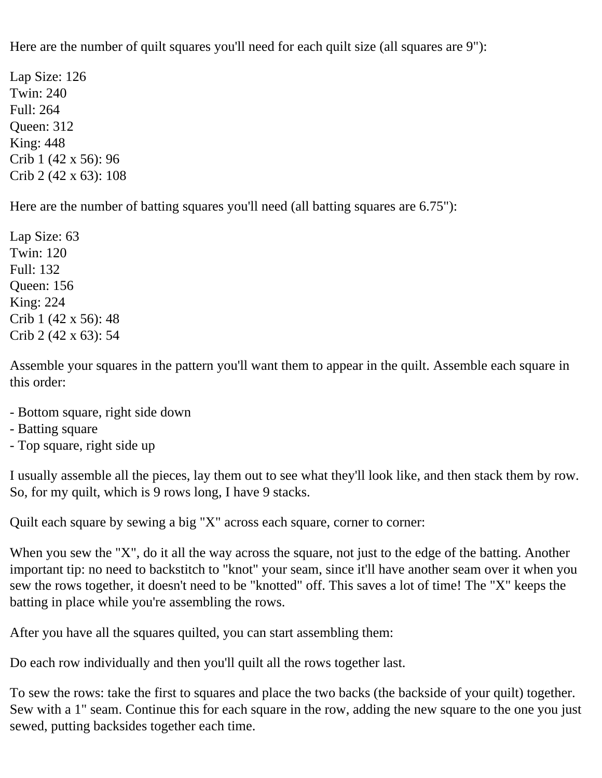Here are the number of quilt squares you'll need for each quilt size (all squares are 9"):

Lap Size: 126 Twin: 240 Full: 264 Queen: 312 King: 448 Crib 1 (42 x 56): 96 Crib 2 (42 x 63): 108

Here are the number of batting squares you'll need (all batting squares are 6.75"):

Lap Size: 63 Twin: 120 Full: 132 Queen: 156 King: 224 Crib 1 (42 x 56): 48 Crib 2 (42 x 63): 54

Assemble your squares in the pattern you'll want them to appear in the quilt. Assemble each square in this order:

- Bottom square, right side down
- Batting square
- Top square, right side up

I usually assemble all the pieces, lay them out to see what they'll look like, and then stack them by row. So, for my quilt, which is 9 rows long, I have 9 stacks.

Quilt each square by sewing a big "X" across each square, corner to corner:

When you sew the "X", do it all the way across the square, not just to the edge of the batting. Another important tip: no need to backstitch to "knot" your seam, since it'll have another seam over it when you sew the rows together, it doesn't need to be "knotted" off. This saves a lot of time! The "X" keeps the batting in place while you're assembling the rows.

After you have all the squares quilted, you can start assembling them:

Do each row individually and then you'll quilt all the rows together last.

To sew the rows: take the first to squares and place the two backs (the backside of your quilt) together. Sew with a 1" seam. Continue this for each square in the row, adding the new square to the one you just sewed, putting backsides together each time.